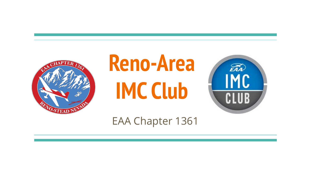

# **Reno-Area IMC Club**



EAA Chapter 1361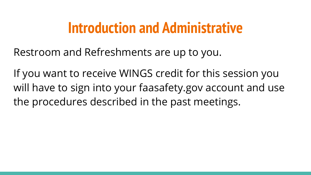### **Introduction and Administrative**

Restroom and Refreshments are up to you.

If you want to receive WINGS credit for this session you will have to sign into your faasafety.gov account and use the procedures described in the past meetings.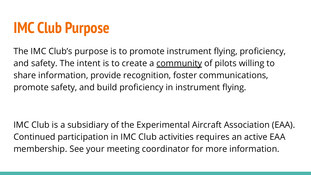# **IMC Club Purpose**

The IMC Club's purpose is to promote instrument flying, proficiency, and safety. The intent is to create a community of pilots willing to share information, provide recognition, foster communications, promote safety, and build proficiency in instrument flying.

IMC Club is a subsidiary of the Experimental Aircraft Association (EAA). Continued participation in IMC Club activities requires an active EAA membership. See your meeting coordinator for more information.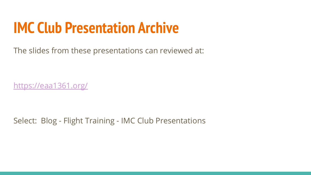## **IMC Club Presentation Archive**

The slides from these presentations can reviewed at:

<https://eaa1361.org/>

Select: Blog - Flight Training - IMC Club Presentations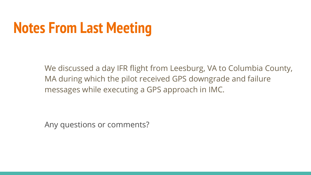# **Notes From Last Meeting**

We discussed a day IFR flight from Leesburg, VA to Columbia County, MA during which the pilot received GPS downgrade and failure messages while executing a GPS approach in IMC.

Any questions or comments?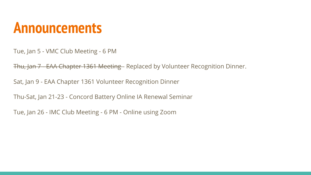#### **Announcements**

Tue, Jan 5 - VMC Club Meeting - 6 PM

Thu, Jan 7 EAA Chapter 1361 Meeting - Replaced by Volunteer Recognition Dinner.

Sat, Jan 9 - EAA Chapter 1361 Volunteer Recognition Dinner

Thu-Sat, Jan 21-23 - Concord Battery Online IA Renewal Seminar

Tue, Jan 26 - IMC Club Meeting - 6 PM - Online using Zoom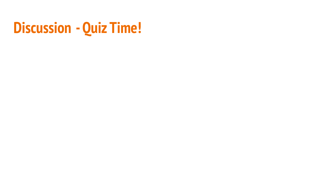## **Discussion - Quiz Time!**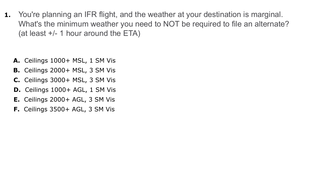**1.** You're planning an IFR flight, and the weather at your destination is marginal. What's the minimum weather you need to NOT be required to file an alternate? (at least +/- 1 hour around the ETA)

- **A.** Ceilings 1000+ MSL, 1 SM Vis
- **B.** Ceilings 2000+ MSL, 3 SM Vis
- **C.** Ceilings 3000+ MSL, 3 SM Vis
- **D.** Ceilings 1000+ AGL, 1 SM Vis
- **E.** Ceilings 2000+ AGL, 3 SM Vis
- **F.** Ceilings 3500+ AGL, 3 SM Vis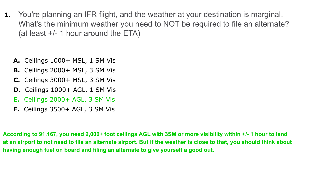**1.** You're planning an IFR flight, and the weather at your destination is marginal. What's the minimum weather you need to NOT be required to file an alternate? (at least +/- 1 hour around the ETA)

- **A.** Ceilings 1000+ MSL, 1 SM Vis
- **B.** Ceilings 2000+ MSL, 3 SM Vis
- **C.** Ceilings 3000+ MSL, 3 SM Vis
- **D.** Ceilings 1000+ AGL, 1 SM Vis
- **E.** Ceilings 2000+ AGL, 3 SM Vis
- **F.** Ceilings 3500+ AGL, 3 SM Vis

**According to 91.167, you need 2,000+ foot ceilings AGL with 3SM or more visibility within +/- 1 hour to land at an airport to not need to file an alternate airport. But if the weather is close to that, you should think about having enough fuel on board and filing an alternate to give yourself a good out.**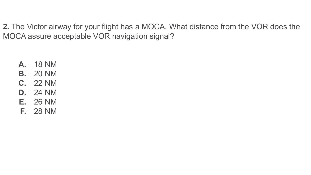**2.** The Victor airway for your flight has a MOCA. What distance from the VOR does the MOCA assure acceptable VOR navigation signal?

- **A.** 18 NM
- **B.** 20 NM
- **C.** 22 NM
- **D.** 24 NM
- **E.** 26 NM
- **F.** 28 NM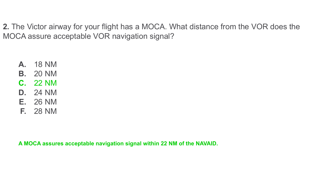**2.** The Victor airway for your flight has a MOCA. What distance from the VOR does the MOCA assure acceptable VOR navigation signal?

- **A.** 18 NM
- **B.** 20 NM
- **C.** 22 NM
- **D.** 24 NM
- **E.** 26 NM
- **F.** 28 NM

**A MOCA assures acceptable navigation signal within 22 NM of the NAVAID.**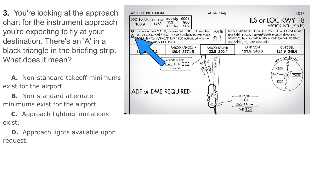**3.** You're looking at the approach chart for the instrument approach you're expecting to fly at your destination. There's an 'A' in a black triangle in the briefing strip. What does it mean?

 **A.** Non-standard takeoff minimums exist for the airport

 **B.** Non-standard alternate minimums exist for the airport

 **C.** Approach lighting limitations exist.

**D.** Approach lights available upon request.

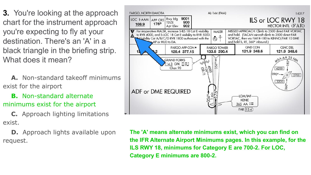**3.** You're looking at the approach chart for the instrument approach you're expecting to fly at your destination. There's an 'A' in a black triangle in the briefing strip. What does it mean?

 **A.** Non-standard takeoff minimums exist for the airport

 **B.** Non-standard alternate minimums exist for the airport

 **C.** Approach lighting limitations exist.

**D.** Approach lights available upon request.



**The 'A' means alternate minimums exist, which you can find on the IFR Alternate Airport Minimums pages. In this example, for the ILS RWY 18, minimums for Category E are 700-2. For LOC, Category E minimums are 800-2.**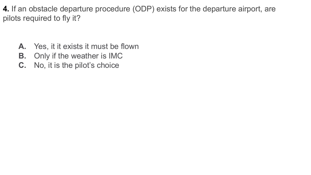**4.** If an obstacle departure procedure (ODP) exists for the departure airport, are pilots required to fly it?

- **A.** Yes, it it exists it must be flown
- **B.** Only if the weather is IMC
- **C.** No, it is the pilot's choice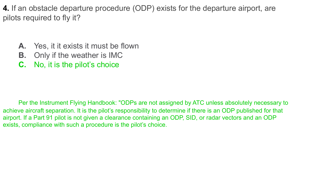**4.** If an obstacle departure procedure (ODP) exists for the departure airport, are pilots required to fly it?

- **A.** Yes, it it exists it must be flown
- **B.** Only if the weather is IMC
- **C.** No, it is the pilot's choice

Per the Instrument Flying Handbook: "ODPs are not assigned by ATC unless absolutely necessary to achieve aircraft separation. It is the pilot's responsibility to determine if there is an ODP published for that airport. If a Part 91 pilot is not given a clearance containing an ODP, SID, or radar vectors and an ODP exists, compliance with such a procedure is the pilot's choice.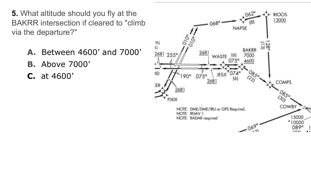- **5.** What altitude should you fly at the BAKRR intersection if cleared to "climb via the departure?"
	- **A.** Between 4600' and 7000'
	- **B.** Above 7000'
	- **C.** at 4600'

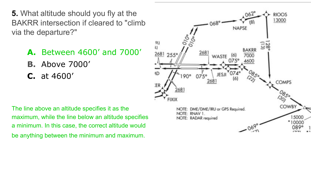**5.** What altitude should you fly at the BAKRR intersection if cleared to "climb via the departure?"

- **A.** Between 4600' and 7000'
- **B.** Above 7000'
- **C.** at 4600'

The line above an altitude specifies it as the maximum, while the line below an altitude specifies a minimum. In this case, the correct altitude would be anything between the minimum and maximum.

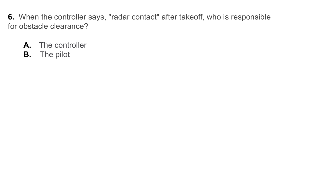**6.** When the controller says, "radar contact" after takeoff, who is responsible for obstacle clearance?

- **A.** The controller
- **B.** The pilot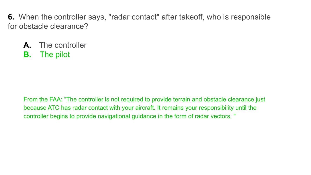**6.** When the controller says, "radar contact" after takeoff, who is responsible for obstacle clearance?

- **A.** The controller
- **B.** The pilot

From the FAA: "The controller is not required to provide terrain and obstacle clearance just because ATC has radar contact with your aircraft. It remains your responsibility until the controller begins to provide navigational guidance in the form of radar vectors. "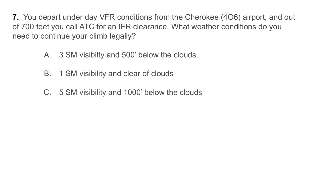**7.** You depart under day VFR conditions from the Cherokee (4O6) airport, and out of 700 feet you call ATC for an IFR clearance. What weather conditions do you need to continue your climb legally?

- A. 3 SM visibilty and 500' below the clouds.
- B. 1 SM visibility and clear of clouds
- C. 5 SM visibility and 1000' below the clouds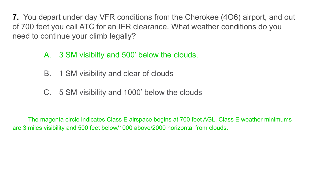**7.** You depart under day VFR conditions from the Cherokee (4O6) airport, and out of 700 feet you call ATC for an IFR clearance. What weather conditions do you need to continue your climb legally?

- A. 3 SM visibilty and 500' below the clouds.
- B. 1 SM visibility and clear of clouds
- C. 5 SM visibility and 1000' below the clouds

The magenta circle indicates Class E airspace begins at 700 feet AGL. Class E weather minimums are 3 miles visibility and 500 feet below/1000 above/2000 horizontal from clouds.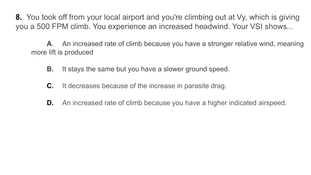**8.** You took off from your local airport and you're climbing out at Vy, which is giving you a 500 FPM climb. You experience an increased headwind. Your VSI shows...

**A**. An increased rate of climb because you have a stronger relative wind, meaning more lift is produced

- **B.** It stays the same but you have a slower ground speed.
- **C.** It decreases because of the increase in parasite drag.
- **D.** An increased rate of climb because you have a higher indicated airspeed.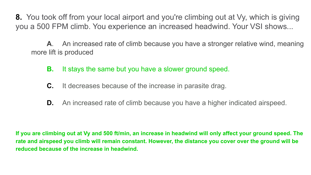**8.** You took off from your local airport and you're climbing out at Vy, which is giving you a 500 FPM climb. You experience an increased headwind. Your VSI shows...

**A**. An increased rate of climb because you have a stronger relative wind, meaning more lift is produced

- **B.** It stays the same but you have a slower ground speed.
- **C.** It decreases because of the increase in parasite drag.
- **D.** An increased rate of climb because you have a higher indicated airspeed.

**If you are climbing out at Vy and 500 ft/min, an increase in headwind will only affect your ground speed. The rate and airspeed you climb will remain constant. However, the distance you cover over the ground will be reduced because of the increase in headwind.**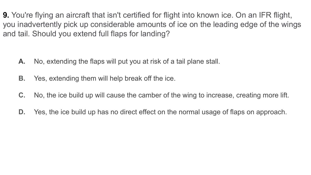**9.** You're flying an aircraft that isn't certified for flight into known ice. On an IFR flight, you inadvertently pick up considerable amounts of ice on the leading edge of the wings and tail. Should you extend full flaps for landing?

- **A.** No, extending the flaps will put you at risk of a tail plane stall.
- **B.** Yes, extending them will help break off the ice.
- **C.** No, the ice build up will cause the camber of the wing to increase, creating more lift.
- **D.** Yes, the ice build up has no direct effect on the normal usage of flaps on approach.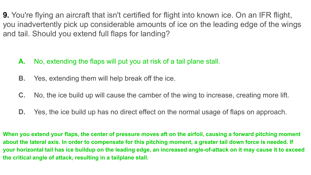**9.** You're flying an aircraft that isn't certified for flight into known ice. On an IFR flight, you inadvertently pick up considerable amounts of ice on the leading edge of the wings and tail. Should you extend full flaps for landing?

- **A.** No, extending the flaps will put you at risk of a tail plane stall.
- **B.** Yes, extending them will help break off the ice.
- **C.** No, the ice build up will cause the camber of the wing to increase, creating more lift.
- **D.** Yes, the ice build up has no direct effect on the normal usage of flaps on approach.

**When you extend your flaps, the center of pressure moves aft on the airfoil, causing a forward pitching moment about the lateral axis. In order to compensate for this pitching moment, a greater tail down force is needed. If your horizontal tail has ice buildup on the leading edge, an increased angle-of-attack on it may cause it to exceed the critical angle of attack, resulting in a tailplane stall.**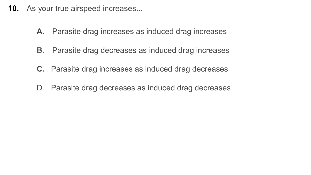- **10.** As your true airspeed increases...
	- **A.** Parasite drag increases as induced drag increases
	- **B.** Parasite drag decreases as induced drag increases
	- **C.** Parasite drag increases as induced drag decreases
	- D. Parasite drag decreases as induced drag decreases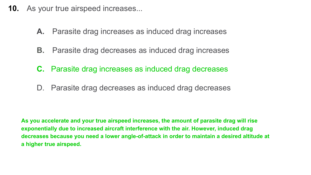- **10.** As your true airspeed increases...
	- **A.** Parasite drag increases as induced drag increases
	- **B.** Parasite drag decreases as induced drag increases
	- **C.** Parasite drag increases as induced drag decreases
	- D. Parasite drag decreases as induced drag decreases

**As you accelerate and your true airspeed increases, the amount of parasite drag will rise exponentially due to increased aircraft interference with the air. However, induced drag decreases because you need a lower angle-of-attack in order to maintain a desired altitude at a higher true airspeed.**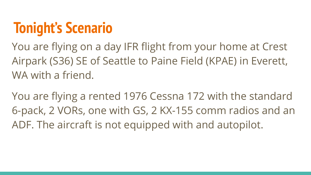## **Tonight's Scenario**

You are flying on a day IFR flight from your home at Crest Airpark (S36) SE of Seattle to Paine Field (KPAE) in Everett, WA with a friend.

You are flying a rented 1976 Cessna 172 with the standard 6-pack, 2 VORs, one with GS, 2 KX-155 comm radios and an ADF. The aircraft is not equipped with and autopilot.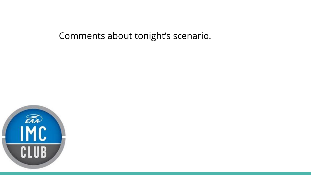Comments about tonight's scenario.

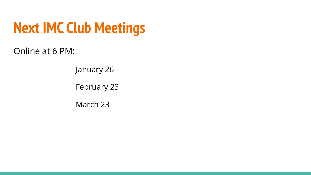# **Next IMC Club Meetings**

Online at 6 PM:

January 26

February 23

March 23